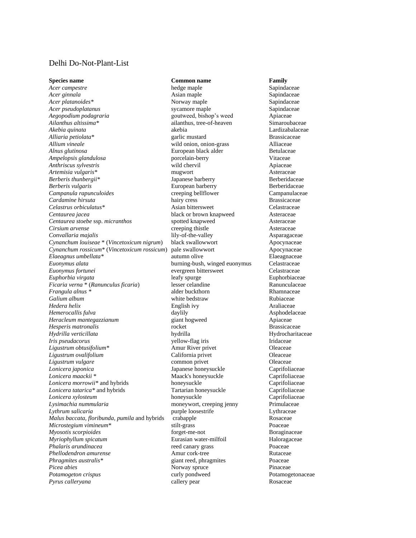## Delhi Do-Not-Plant-List

*Acer campestre* **hedge maple** Sapindaceae **Sapindaceae** *Acer ginnala* **Asian maple Asian maple Sapindaceae Sapindaceae Sapindaceae** *Acer platanoides\** Norway maple Sapindaceae *Acer pseudoplatanus* **sycamore maple** Sapindace<br> *Aegopodium podagraria* executive syculture of the soutweed, bishop's weed Apiaceae *Aegopodium podagraria* **bishop's weed** Apiaceae **Apiaceae Apiaceae Apiaceae Apiaceae Apiaceae Apiaceae Apiaceae Apiaceae Apiaceae Apiaceae Apiaceae Apiaceae Apiaceae Apiaceae Apiaceae Apiacea** *Akebia quinata* **akebia** akebia **akebia akebia leh katika lardizabalaceae**<br>
Alliaria petiolata\* **antices antices expansion antices antices in the contract definition by Brassicaceae** *Alliaria petiolata\** garlic mustard Brassicaceae *Allium vineale* wild onion, onion-grass Alliaceae *Alnus glutinosa* European black alder Betulaceae *Ampelopsis glandulosa* porcelain-berry Vitaceae *Anthriscus sylvestris* wild chervil Apiaceae *Artemisia vulgaris\** mugwort Asteraceae *Berberis thunbergii\** Japanese barberry Berberidaceae **Berberis vulgaris European barberry Berberidaceae Berberidaceae** *Campanula rapunculoides* creeping bellflower Campanulaceae *Cardamine hirsuta* **hairy cress hairy cress Brassicaceae** *Celastrus orbiculatus\** Asian bittersweet Celastraceae *Centaurea jacea* **black or brown knapweed** Asteraceae<br> *Centaurea stoebe* ssp. *micranthos* spotted knapweed Asteraceae **Centaurea stoebe ssp.** *micranthos* spotted knapweed Asteraceae *Cirsium arvense* **creeping thistle Asteraceae** *Convallaria majalis* lily-of-the-valley https://www.philip-of-the-valley Asparagaceae<br> *Cynanchum louiseae* \* (*Vincetoxicum nigrum*) black swallowwort Abocynaceae *Cynanchum louiseae* \* (*Vincetoxicum nigrum*) black swallowwort Apocynaceae  $Cynanchum\ rossicum*$  (*Vincetoxicum rossicum*) pale swallowwort Apocynaceae *Elaeagnus umbellata\** autumn olive Elaeagnaceae *Euonymus alata* burning-bush, winged euonymus Celastraceae *Euonymus fortunei* evergreen bittersweet Celastraceae *Euphorbia virgata* leafy spurge Euphorbiaceae *Ficaria verna* \* (*Ranunculus ficaria*) lesser celandine and a lesser Ranunculaceae alder buckthorn **Ranunculaceae** alder buckthorn **Ranunculaceae** alder buckthorn **Ranunculaceae** alder buckthorn **Ranunculaceae** alder buc *Frangula alnus* \* The alder buckthorn **Frangula alnus** \* The alder buckthorn **Rhamnaceae**<br> **Frangula alnum** Rubiaceae **Rubiaceae Rubiaceae** *Hedera helix* **English ivy English ivy Araliaceae** *Hemerocallis fulva* daylily Asphodelaceae *Heracleum mantegazzianum* giant hogweed Apiaceae *Hesperis matronalis* **rocket brassicaceae Brassicaceae Brassicaceae** *Hydrilla verticillata* hydrilla Hydrocharitaceae *Iris pseudacorus* yellow-flag iris Iridaceae *Ligustrum obtusifolium\** Amur River privet Oleaceae *Ligustrum ovalifolium* **California privet California privet Oleaceae** *Ligustrum vulgare* common privet Oleaceae *Lonicera japonica* Japanese honeysuckle Caprifoliaceae *Lonicera maackii* \* Maack's honeysuckle Caprifoliaceae *Lonicera morrowii\** and hybrids honeysuckle Caprifoliaceae *Lonicera tatarica\** and hybrids Tartarian honeysuckle Caprifoliaceae *Lonicera tatarica\** and hybrids Tartarian honeysuckle Caprifoliaceae<br> *Lonicera xylosteum* honeysuckle Caprifoliaceae *Lonicera xylosteum* **honeysuckle caprifoliace**<br> *Lysimachia nummularia* **honeysuckle honeysuckle caprifoliace caprifoliace caprifoliace caprifoliace caprifoliace caprifoliate caprifoliate caprifoliate** *Lythrum salicaria* **purple loosestrife Lythraceae Lythraceae** *Agusta baccata, floribunda, pumila and hybrids crabapple crabapple Condus baccata, floribunda, pumila and hybrids crabapple crabapple Malus baccata, floribunda, pumila* and hybrids crabapple **Rosaceae** Rosaceae Rosaceae Rosaceae Rosaceae Rosaceae Rosaceae Rosaceae Rosaceae Rosaceae Rosaceae Rosaceae Rosaceae Rosaceae Rosaceae Rosaceae Rosaceae Rosaceae *Microstegium vimineum*<sup>\*</sup> stilt-grass *Myosotis scorpioides* forget-me-not Boraginaceae *Myriophyllum spicatum* **Eurasian water-milfoil** Haloragaceae *Phalaris arundinacea* reed canary grass Poaceae *Phellodendron amurense* Amur cork-tree Rutaceae *Phragmites australis<sup>\*</sup> giant reed, phragmites* Poaceae *Picea abies* Pinaceae **Prophetics Prophetics Pinaceae Prophetics Prophetics Prophetics Prophetics Prophetics Prophetics Prophetics Prophetics** *Potamogeton crispus* **curly pondweed** Potamogetonaceae **Potamogetonaceae** *Pyrus calleryana* callery pear Rosaceae

## **Species name Common name Family Common name Family**

ailanthus, tree-of-heaven white bedstraw moneywort, creeping jenny **Picka absolute**<br> **Picka abies Curly pondweed**